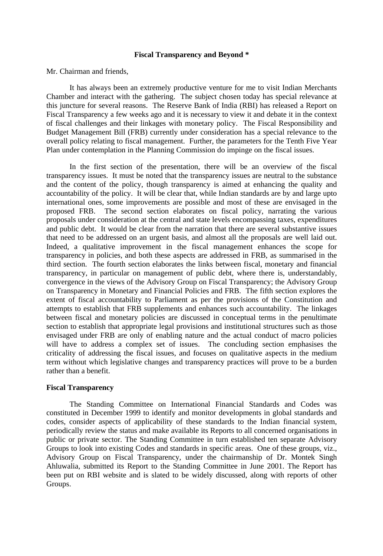## **Fiscal Transparency and Beyond \***

Mr. Chairman and friends,

It has always been an extremely productive venture for me to visit Indian Merchants Chamber and interact with the gathering. The subject chosen today has special relevance at this juncture for several reasons. The Reserve Bank of India (RBI) has released a Report on Fiscal Transparency a few weeks ago and it is necessary to view it and debate it in the context of fiscal challenges and their linkages with monetary policy. The Fiscal Responsibility and Budget Management Bill (FRB) currently under consideration has a special relevance to the overall policy relating to fiscal management. Further, the parameters for the Tenth Five Year Plan under contemplation in the Planning Commission do impinge on the fiscal issues.

In the first section of the presentation, there will be an overview of the fiscal transparency issues. It must be noted that the transparency issues are neutral to the substance and the content of the policy, though transparency is aimed at enhancing the quality and accountability of the policy. It will be clear that, while Indian standards are by and large upto international ones, some improvements are possible and most of these are envisaged in the proposed FRB. The second section elaborates on fiscal policy, narrating the various proposals under consideration at the central and state levels encompassing taxes, expenditures and public debt. It would be clear from the narration that there are several substantive issues that need to be addressed on an urgent basis, and almost all the proposals are well laid out. Indeed, a qualitative improvement in the fiscal management enhances the scope for transparency in policies, and both these aspects are addressed in FRB, as summarised in the third section. The fourth section elaborates the links between fiscal, monetary and financial transparency, in particular on management of public debt, where there is, understandably, convergence in the views of the Advisory Group on Fiscal Transparency; the Advisory Group on Transparency in Monetary and Financial Policies and FRB. The fifth section explores the extent of fiscal accountability to Parliament as per the provisions of the Constitution and attempts to establish that FRB supplements and enhances such accountability. The linkages between fiscal and monetary policies are discussed in conceptual terms in the penultimate section to establish that appropriate legal provisions and institutional structures such as those envisaged under FRB are only of enabling nature and the actual conduct of macro policies will have to address a complex set of issues. The concluding section emphasises the criticality of addressing the fiscal issues, and focuses on qualitative aspects in the medium term without which legislative changes and transparency practices will prove to be a burden rather than a benefit.

## **Fiscal Transparency**

The Standing Committee on International Financial Standards and Codes was constituted in December 1999 to identify and monitor developments in global standards and codes, consider aspects of applicability of these standards to the Indian financial system, periodically review the status and make available its Reports to all concerned organisations in public or private sector. The Standing Committee in turn established ten separate Advisory Groups to look into existing Codes and standards in specific areas. One of these groups, viz., Advisory Group on Fiscal Transparency, under the chairmanship of Dr. Montek Singh Ahluwalia, submitted its Report to the Standing Committee in June 2001. The Report has been put on RBI website and is slated to be widely discussed, along with reports of other Groups.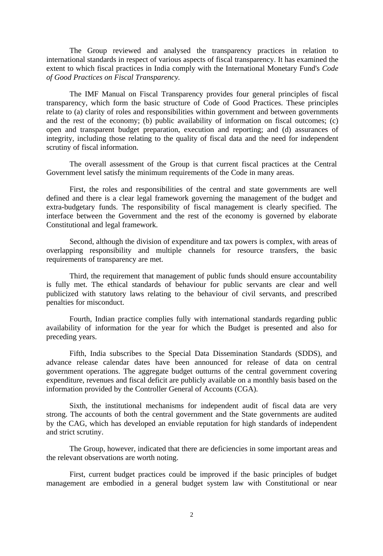The Group reviewed and analysed the transparency practices in relation to international standards in respect of various aspects of fiscal transparency. It has examined the extent to which fiscal practices in India comply with the International Monetary Fund's *Code of Good Practices on Fiscal Transparency.*

The IMF Manual on Fiscal Transparency provides four general principles of fiscal transparency, which form the basic structure of Code of Good Practices. These principles relate to (a) clarity of roles and responsibilities within government and between governments and the rest of the economy; (b) public availability of information on fiscal outcomes; (c) open and transparent budget preparation, execution and reporting; and (d) assurances of integrity, including those relating to the quality of fiscal data and the need for independent scrutiny of fiscal information.

The overall assessment of the Group is that current fiscal practices at the Central Government level satisfy the minimum requirements of the Code in many areas.

First, the roles and responsibilities of the central and state governments are well defined and there is a clear legal framework governing the management of the budget and extra-budgetary funds. The responsibility of fiscal management is clearly specified. The interface between the Government and the rest of the economy is governed by elaborate Constitutional and legal framework.

Second, although the division of expenditure and tax powers is complex, with areas of overlapping responsibility and multiple channels for resource transfers, the basic requirements of transparency are met.

Third, the requirement that management of public funds should ensure accountability is fully met. The ethical standards of behaviour for public servants are clear and well publicized with statutory laws relating to the behaviour of civil servants, and prescribed penalties for misconduct.

Fourth, Indian practice complies fully with international standards regarding public availability of information for the year for which the Budget is presented and also for preceding years.

Fifth, India subscribes to the Special Data Dissemination Standards (SDDS), and advance release calendar dates have been announced for release of data on central government operations. The aggregate budget outturns of the central government covering expenditure, revenues and fiscal deficit are publicly available on a monthly basis based on the information provided by the Controller General of Accounts (CGA).

Sixth, the institutional mechanisms for independent audit of fiscal data are very strong. The accounts of both the central government and the State governments are audited by the CAG, which has developed an enviable reputation for high standards of independent and strict scrutiny.

The Group, however, indicated that there are deficiencies in some important areas and the relevant observations are worth noting.

First, current budget practices could be improved if the basic principles of budget management are embodied in a general budget system law with Constitutional or near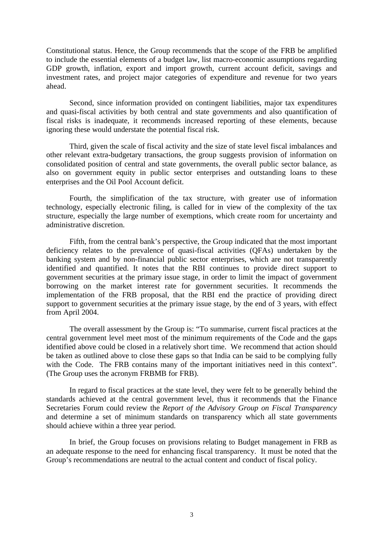Constitutional status. Hence, the Group recommends that the scope of the FRB be amplified to include the essential elements of a budget law, list macro-economic assumptions regarding GDP growth, inflation, export and import growth, current account deficit, savings and investment rates, and project major categories of expenditure and revenue for two years ahead.

Second, since information provided on contingent liabilities, major tax expenditures and quasi-fiscal activities by both central and state governments and also quantification of fiscal risks is inadequate, it recommends increased reporting of these elements, because ignoring these would understate the potential fiscal risk.

Third, given the scale of fiscal activity and the size of state level fiscal imbalances and other relevant extra-budgetary transactions, the group suggests provision of information on consolidated position of central and state governments, the overall public sector balance, as also on government equity in public sector enterprises and outstanding loans to these enterprises and the Oil Pool Account deficit.

Fourth, the simplification of the tax structure, with greater use of information technology, especially electronic filing, is called for in view of the complexity of the tax structure, especially the large number of exemptions, which create room for uncertainty and administrative discretion.

Fifth, from the central bank's perspective, the Group indicated that the most important deficiency relates to the prevalence of quasi-fiscal activities (QFAs) undertaken by the banking system and by non-financial public sector enterprises, which are not transparently identified and quantified. It notes that the RBI continues to provide direct support to government securities at the primary issue stage, in order to limit the impact of government borrowing on the market interest rate for government securities. It recommends the implementation of the FRB proposal, that the RBI end the practice of providing direct support to government securities at the primary issue stage, by the end of 3 years, with effect from April 2004.

The overall assessment by the Group is: "To summarise, current fiscal practices at the central government level meet most of the minimum requirements of the Code and the gaps identified above could be closed in a relatively short time. We recommend that action should be taken as outlined above to close these gaps so that India can be said to be complying fully with the Code. The FRB contains many of the important initiatives need in this context". (The Group uses the acronym FRBMB for FRB).

In regard to fiscal practices at the state level, they were felt to be generally behind the standards achieved at the central government level, thus it recommends that the Finance Secretaries Forum could review the *Report of the Advisory Group on Fiscal Transparency* and determine a set of minimum standards on transparency which all state governments should achieve within a three year period.

In brief, the Group focuses on provisions relating to Budget management in FRB as an adequate response to the need for enhancing fiscal transparency. It must be noted that the Group's recommendations are neutral to the actual content and conduct of fiscal policy.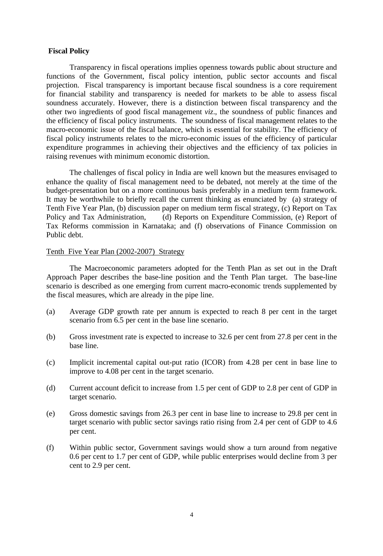# **Fiscal Policy**

Transparency in fiscal operations implies openness towards public about structure and functions of the Government, fiscal policy intention, public sector accounts and fiscal projection. Fiscal transparency is important because fiscal soundness is a core requirement for financial stability and transparency is needed for markets to be able to assess fiscal soundness accurately. However, there is a distinction between fiscal transparency and the other two ingredients of good fiscal management *viz*., the soundness of public finances and the efficiency of fiscal policy instruments. The soundness of fiscal management relates to the macro-economic issue of the fiscal balance, which is essential for stability. The efficiency of fiscal policy instruments relates to the micro-economic issues of the efficiency of particular expenditure programmes in achieving their objectives and the efficiency of tax policies in raising revenues with minimum economic distortion.

The challenges of fiscal policy in India are well known but the measures envisaged to enhance the quality of fiscal management need to be debated, not merely at the time of the budget-presentation but on a more continuous basis preferably in a medium term framework. It may be worthwhile to briefly recall the current thinking as enunciated by (a) strategy of Tenth Five Year Plan, (b) discussion paper on medium term fiscal strategy, (c) Report on Tax Policy and Tax Administration, (d) Reports on Expenditure Commission, (e) Report of Tax Reforms commission in Karnataka; and (f) observations of Finance Commission on Public debt.

# Tenth Five Year Plan (2002-2007) Strategy

The Macroeconomic parameters adopted for the Tenth Plan as set out in the Draft Approach Paper describes the base-line position and the Tenth Plan target. The base-line scenario is described as one emerging from current macro-economic trends supplemented by the fiscal measures, which are already in the pipe line.

- (a) Average GDP growth rate per annum is expected to reach 8 per cent in the target scenario from 6.5 per cent in the base line scenario.
- (b) Gross investment rate is expected to increase to 32.6 per cent from 27.8 per cent in the base line.
- (c) Implicit incremental capital out-put ratio (ICOR) from 4.28 per cent in base line to improve to 4.08 per cent in the target scenario.
- (d) Current account deficit to increase from 1.5 per cent of GDP to 2.8 per cent of GDP in target scenario.
- (e) Gross domestic savings from 26.3 per cent in base line to increase to 29.8 per cent in target scenario with public sector savings ratio rising from 2.4 per cent of GDP to 4.6 per cent.
- (f) Within public sector, Government savings would show a turn around from negative 0.6 per cent to 1.7 per cent of GDP, while public enterprises would decline from 3 per cent to 2.9 per cent.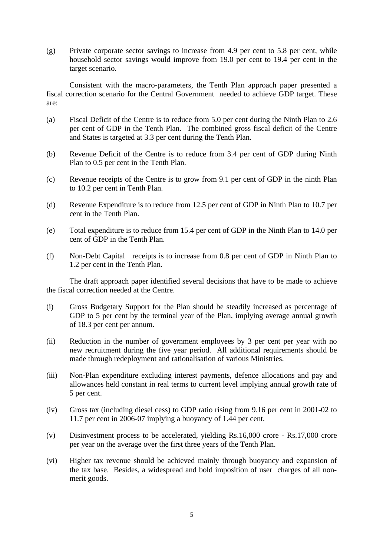(g) Private corporate sector savings to increase from 4.9 per cent to 5.8 per cent, while household sector savings would improve from 19.0 per cent to 19.4 per cent in the target scenario.

Consistent with the macro-parameters, the Tenth Plan approach paper presented a fiscal correction scenario for the Central Government needed to achieve GDP target. These are:

- (a) Fiscal Deficit of the Centre is to reduce from 5.0 per cent during the Ninth Plan to 2.6 per cent of GDP in the Tenth Plan. The combined gross fiscal deficit of the Centre and States is targeted at 3.3 per cent during the Tenth Plan.
- (b) Revenue Deficit of the Centre is to reduce from 3.4 per cent of GDP during Ninth Plan to 0.5 per cent in the Tenth Plan.
- (c) Revenue receipts of the Centre is to grow from 9.1 per cent of GDP in the ninth Plan to 10.2 per cent in Tenth Plan.
- (d) Revenue Expenditure is to reduce from 12.5 per cent of GDP in Ninth Plan to 10.7 per cent in the Tenth Plan.
- (e) Total expenditure is to reduce from 15.4 per cent of GDP in the Ninth Plan to 14.0 per cent of GDP in the Tenth Plan.
- (f) Non-Debt Capital receipts is to increase from 0.8 per cent of GDP in Ninth Plan to 1.2 per cent in the Tenth Plan.

The draft approach paper identified several decisions that have to be made to achieve the fiscal correction needed at the Centre.

- (i) Gross Budgetary Support for the Plan should be steadily increased as percentage of GDP to 5 per cent by the terminal year of the Plan, implying average annual growth of 18.3 per cent per annum.
- (ii) Reduction in the number of government employees by 3 per cent per year with no new recruitment during the five year period. All additional requirements should be made through redeployment and rationalisation of various Ministries.
- (iii) Non-Plan expenditure excluding interest payments, defence allocations and pay and allowances held constant in real terms to current level implying annual growth rate of 5 per cent.
- (iv) Gross tax (including diesel cess) to GDP ratio rising from 9.16 per cent in 2001-02 to 11.7 per cent in 2006-07 implying a buoyancy of 1.44 per cent.
- (v) Disinvestment process to be accelerated, yielding Rs.16,000 crore Rs.17,000 crore per year on the average over the first three years of the Tenth Plan.
- (vi) Higher tax revenue should be achieved mainly through buoyancy and expansion of the tax base. Besides, a widespread and bold imposition of user charges of all nonmerit goods.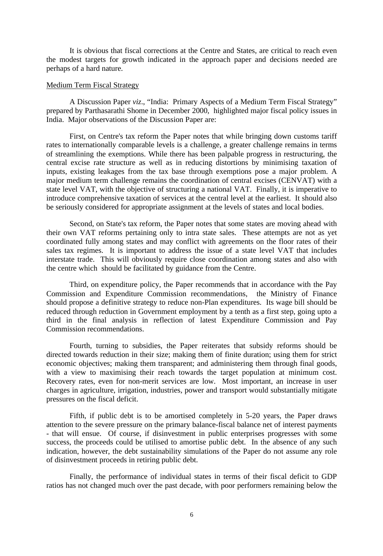It is obvious that fiscal corrections at the Centre and States, are critical to reach even the modest targets for growth indicated in the approach paper and decisions needed are perhaps of a hard nature.

### Medium Term Fiscal Strategy

A Discussion Paper *viz*., "India: Primary Aspects of a Medium Term Fiscal Strategy" prepared by Parthasarathi Shome in December 2000, highlighted major fiscal policy issues in India. Major observations of the Discussion Paper are:

First, on Centre's tax reform the Paper notes that while bringing down customs tariff rates to internationally comparable levels is a challenge, a greater challenge remains in terms of streamlining the exemptions. While there has been palpable progress in restructuring, the central excise rate structure as well as in reducing distortions by minimising taxation of inputs, existing leakages from the tax base through exemptions pose a major problem. A major medium term challenge remains the coordination of central excises (CENVAT) with a state level VAT, with the objective of structuring a national VAT. Finally, it is imperative to introduce comprehensive taxation of services at the central level at the earliest. It should also be seriously considered for appropriate assignment at the levels of states and local bodies.

Second, on State's tax reform, the Paper notes that some states are moving ahead with their own VAT reforms pertaining only to intra state sales. These attempts are not as yet coordinated fully among states and may conflict with agreements on the floor rates of their sales tax regimes. It is important to address the issue of a state level VAT that includes interstate trade. This will obviously require close coordination among states and also with the centre which should be facilitated by guidance from the Centre.

Third, on expenditure policy, the Paper recommends that in accordance with the Pay Commission and Expenditure Commission recommendations, the Ministry of Finance should propose a definitive strategy to reduce non-Plan expenditures. Its wage bill should be reduced through reduction in Government employment by a tenth as a first step, going upto a third in the final analysis in reflection of latest Expenditure Commission and Pay Commission recommendations.

Fourth, turning to subsidies, the Paper reiterates that subsidy reforms should be directed towards reduction in their size; making them of finite duration; using them for strict economic objectives; making them transparent; and administering them through final goods, with a view to maximising their reach towards the target population at minimum cost. Recovery rates, even for non-merit services are low. Most important, an increase in user charges in agriculture, irrigation, industries, power and transport would substantially mitigate pressures on the fiscal deficit.

Fifth, if public debt is to be amortised completely in 5-20 years, the Paper draws attention to the severe pressure on the primary balance-fiscal balance net of interest payments - that will ensue. Of course, if disinvestment in public enterprises progresses with some success, the proceeds could be utilised to amortise public debt. In the absence of any such indication, however, the debt sustainability simulations of the Paper do not assume any role of disinvestment proceeds in retiring public debt.

Finally, the performance of individual states in terms of their fiscal deficit to GDP ratios has not changed much over the past decade, with poor performers remaining below the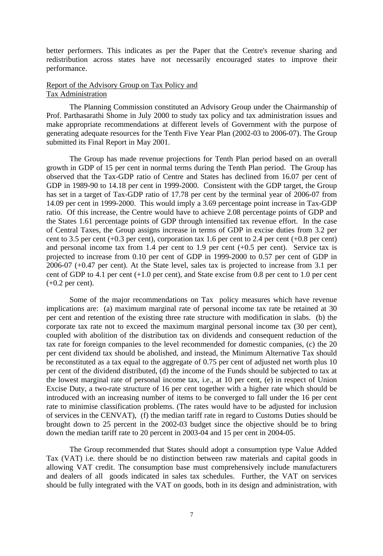better performers. This indicates as per the Paper that the Centre's revenue sharing and redistribution across states have not necessarily encouraged states to improve their performance.

# Report of the Advisory Group on Tax Policy and Tax Administration

The Planning Commission constituted an Advisory Group under the Chairmanship of Prof. Parthasarathi Shome in July 2000 to study tax policy and tax administration issues and make appropriate recommendations at different levels of Government with the purpose of generating adequate resources for the Tenth Five Year Plan (2002-03 to 2006-07). The Group submitted its Final Report in May 2001.

The Group has made revenue projections for Tenth Plan period based on an overall growth in GDP of 15 per cent in normal terms during the Tenth Plan period. The Group has observed that the Tax-GDP ratio of Centre and States has declined from 16.07 per cent of GDP in 1989-90 to 14.18 per cent in 1999-2000. Consistent with the GDP target, the Group has set in a target of Tax-GDP ratio of 17.78 per cent by the terminal year of 2006-07 from 14.09 per cent in 1999-2000. This would imply a 3.69 percentage point increase in Tax-GDP ratio. Of this increase, the Centre would have to achieve 2.08 percentage points of GDP and the States 1.61 percentage points of GDP through intensified tax revenue effort. In the case of Central Taxes, the Group assigns increase in terms of GDP in excise duties from 3.2 per cent to 3.5 per cent (+0.3 per cent), corporation tax 1.6 per cent to 2.4 per cent (+0.8 per cent) and personal income tax from 1.4 per cent to 1.9 per cent  $(+0.5$  per cent). Service tax is projected to increase from 0.10 per cent of GDP in 1999-2000 to 0.57 per cent of GDP in 2006-07 (+0.47 per cent). At the State level, sales tax is projected to increase from 3.1 per cent of GDP to 4.1 per cent (+1.0 per cent), and State excise from 0.8 per cent to 1.0 per cent  $(+0.2$  per cent).

Some of the major recommendations on Tax policy measures which have revenue implications are: (a) maximum marginal rate of personal income tax rate be retained at 30 per cent and retention of the existing three rate structure with modification in slabs. (b) the corporate tax rate not to exceed the maximum marginal personal income tax (30 per cent), coupled with abolition of the distribution tax on dividends and consequent reduction of the tax rate for foreign companies to the level recommended for domestic companies, (c) the 20 per cent dividend tax should be abolished, and instead, the Minimum Alternative Tax should be reconstituted as a tax equal to the aggregate of 0.75 per cent of adjusted net worth plus 10 per cent of the dividend distributed, (d) the income of the Funds should be subjected to tax at the lowest marginal rate of personal income tax, i.e., at 10 per cent, (e) in respect of Union Excise Duty, a two-rate structure of 16 per cent together with a higher rate which should be introduced with an increasing number of items to be converged to fall under the 16 per cent rate to minimise classification problems. (The rates would have to be adjusted for inclusion of services in the CENVAT), (f) the median tariff rate in regard to Customs Duties should be brought down to 25 percent in the 2002-03 budget since the objective should be to bring down the median tariff rate to 20 percent in 2003-04 and 15 per cent in 2004-05.

The Group recommended that States should adopt a consumption type Value Added Tax (VAT) i.e. there should be no distinction between raw materials and capital goods in allowing VAT credit. The consumption base must comprehensively include manufacturers and dealers of all goods indicated in sales tax schedules. Further, the VAT on services should be fully integrated with the VAT on goods, both in its design and administration, with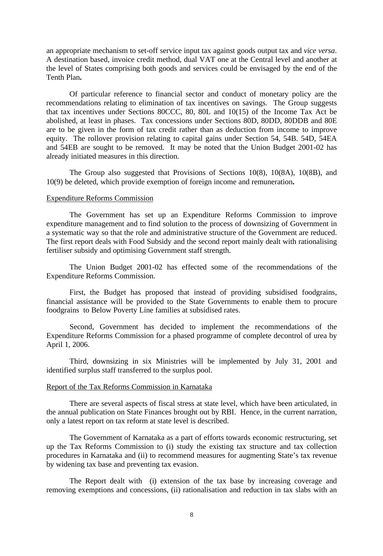an appropriate mechanism to set-off service input tax against goods output tax and *vice versa*. A destination based, invoice credit method, dual VAT one at the Central level and another at the level of States comprising both goods and services could be envisaged by the end of the Tenth Plan**.**

Of particular reference to financial sector and conduct of monetary policy are the recommendations relating to elimination of tax incentives on savings. The Group suggests that tax incentives under Sections 80CCC, 80, 80L and 10(15) of the Income Tax Act be abolished, at least in phases. Tax concessions under Sections 80D, 80DD, 80DDB and 80E are to be given in the form of tax credit rather than as deduction from income to improve equity. The rollover provision relating to capital gains under Section 54, 54B. 54D, 54EA and 54EB are sought to be removed. It may be noted that the Union Budget 2001-02 has already initiated measures in this direction.

The Group also suggested that Provisions of Sections 10(8), 10(8A), 10(8B), and 10(9) be deleted, which provide exemption of foreign income and remuneration**.**

### Expenditure Reforms Commission

The Government has set up an Expenditure Reforms Commission to improve expenditure management and to find solution to the process of downsizing of Government in a systematic way so that the role and administrative structure of the Government are reduced. The first report deals with Food Subsidy and the second report mainly dealt with rationalising fertiliser subsidy and optimising Government staff strength.

The Union Budget 2001-02 has effected some of the recommendations of the Expenditure Reforms Commission.

First, the Budget has proposed that instead of providing subsidised foodgrains, financial assistance will be provided to the State Governments to enable them to procure foodgrains to Below Poverty Line families at subsidised rates.

Second, Government has decided to implement the recommendations of the Expenditure Reforms Commission for a phased programme of complete decontrol of urea by April 1, 2006.

Third, downsizing in six Ministries will be implemented by July 31, 2001 and identified surplus staff transferred to the surplus pool.

# Report of the Tax Reforms Commission in Karnataka

There are several aspects of fiscal stress at state level, which have been articulated, in the annual publication on State Finances brought out by RBI. Hence, in the current narration, only a latest report on tax reform at state level is described.

The Government of Karnataka as a part of efforts towards economic restructuring, set up the Tax Reforms Commission to (i) study the existing tax structure and tax collection procedures in Karnataka and (ii) to recommend measures for augmenting State's tax revenue by widening tax base and preventing tax evasion.

The Report dealt with (i) extension of the tax base by increasing coverage and removing exemptions and concessions, (ii) rationalisation and reduction in tax slabs with an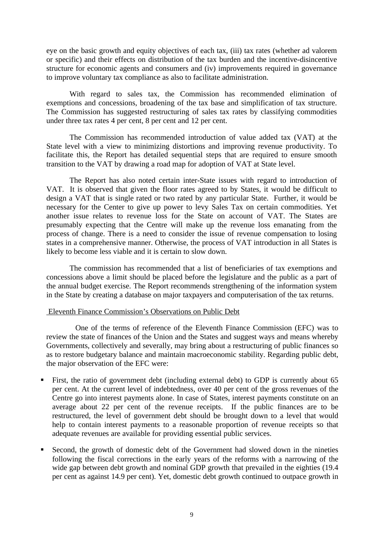eye on the basic growth and equity objectives of each tax, (iii) tax rates (whether ad valorem or specific) and their effects on distribution of the tax burden and the incentive-disincentive structure for economic agents and consumers and (iv) improvements required in governance to improve voluntary tax compliance as also to facilitate administration.

With regard to sales tax, the Commission has recommended elimination of exemptions and concessions, broadening of the tax base and simplification of tax structure. The Commission has suggested restructuring of sales tax rates by classifying commodities under three tax rates 4 per cent, 8 per cent and 12 per cent.

The Commission has recommended introduction of value added tax (VAT) at the State level with a view to minimizing distortions and improving revenue productivity. To facilitate this, the Report has detailed sequential steps that are required to ensure smooth transition to the VAT by drawing a road map for adoption of VAT at State level.

The Report has also noted certain inter-State issues with regard to introduction of VAT. It is observed that given the floor rates agreed to by States, it would be difficult to design a VAT that is single rated or two rated by any particular State. Further, it would be necessary for the Center to give up power to levy Sales Tax on certain commodities. Yet another issue relates to revenue loss for the State on account of VAT. The States are presumably expecting that the Centre will make up the revenue loss emanating from the process of change. There is a need to consider the issue of revenue compensation to losing states in a comprehensive manner. Otherwise, the process of VAT introduction in all States is likely to become less viable and it is certain to slow down.

The commission has recommended that a list of beneficiaries of tax exemptions and concessions above a limit should be placed before the legislature and the public as a part of the annual budget exercise. The Report recommends strengthening of the information system in the State by creating a database on major taxpayers and computerisation of the tax returns.

# Eleventh Finance Commission's Observations on Public Debt

One of the terms of reference of the Eleventh Finance Commission (EFC) was to review the state of finances of the Union and the States and suggest ways and means whereby Governments, collectively and severally, may bring about a restructuring of public finances so as to restore budgetary balance and maintain macroeconomic stability. Regarding public debt, the major observation of the EFC were:

- ß First, the ratio of government debt (including external debt) to GDP is currently about 65 per cent. At the current level of indebtedness, over 40 per cent of the gross revenues of the Centre go into interest payments alone. In case of States, interest payments constitute on an average about 22 per cent of the revenue receipts. If the public finances are to be restructured, the level of government debt should be brought down to a level that would help to contain interest payments to a reasonable proportion of revenue receipts so that adequate revenues are available for providing essential public services.
- ß Second, the growth of domestic debt of the Government had slowed down in the nineties following the fiscal corrections in the early years of the reforms with a narrowing of the wide gap between debt growth and nominal GDP growth that prevailed in the eighties (19.4 per cent as against 14.9 per cent). Yet, domestic debt growth continued to outpace growth in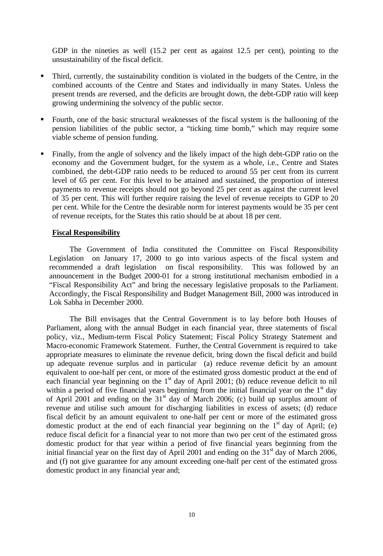GDP in the nineties as well (15.2 per cent as against 12.5 per cent), pointing to the unsustainability of the fiscal deficit.

- ß Third, currently, the sustainability condition is violated in the budgets of the Centre, in the combined accounts of the Centre and States and individually in many States. Unless the present trends are reversed, and the deficits are brought down, the debt-GDP ratio will keep growing undermining the solvency of the public sector.
- ß Fourth, one of the basic structural weaknesses of the fiscal system is the ballooning of the pension liabilities of the public sector, a "ticking time bomb," which may require some viable scheme of pension funding.
- ß Finally, from the angle of solvency and the likely impact of the high debt-GDP ratio on the economy and the Government budget, for the system as a whole, i.e., Centre and States combined, the debt-GDP ratio needs to be reduced to around 55 per cent from its current level of 65 per cent. For this level to be attained and sustained, the proportion of interest payments to revenue receipts should not go beyond 25 per cent as against the current level of 35 per cent. This will further require raising the level of revenue receipts to GDP to 20 per cent. While for the Centre the desirable norm for interest payments would be 35 per cent of revenue receipts, for the States this ratio should be at about 18 per cent.

## **Fiscal Responsibility**

The Government of India constituted the Committee on Fiscal Responsibility Legislation on January 17, 2000 to go into various aspects of the fiscal system and recommended a draft legislation on fiscal responsibility. This was followed by an announcement in the Budget 2000-01 for a strong institutional mechanism embodied in a "Fiscal Responsibility Act" and bring the necessary legislative proposals to the Parliament. Accordingly, the Fiscal Responsibility and Budget Management Bill, 2000 was introduced in Lok Sabha in December 2000.

The Bill envisages that the Central Government is to lay before both Houses of Parliament, along with the annual Budget in each financial year, three statements of fiscal policy, viz., Medium-term Fiscal Policy Statement; Fiscal Policy Strategy Statement and Macro-economic Framework Statement. Further, the Central Government is required to take appropriate measures to eliminate the revenue deficit, bring down the fiscal deficit and build up adequate revenue surplus and in particular (a) reduce revenue deficit by an amount equivalent to one-half per cent, or more of the estimated gross domestic product at the end of each financial year beginning on the  $1<sup>st</sup>$  day of April 2001; (b) reduce revenue deficit to nil within a period of five financial years beginning from the initial financial year on the  $1<sup>st</sup>$  day of April 2001 and ending on the  $31<sup>st</sup>$  day of March 2006; (c) build up surplus amount of revenue and utilise such amount for discharging liabilities in excess of assets; (d) reduce fiscal deficit by an amount equivalent to one-half per cent or more of the estimated gross domestic product at the end of each financial year beginning on the  $1<sup>st</sup>$  day of April; (e) reduce fiscal deficit for a financial year to not more than two per cent of the estimated gross domestic product for that year within a period of five financial years beginning from the initial financial year on the first day of April 2001 and ending on the  $31<sup>st</sup>$  day of March 2006, and (f) not give guarantee for any amount exceeding one-half per cent of the estimated gross domestic product in any financial year and;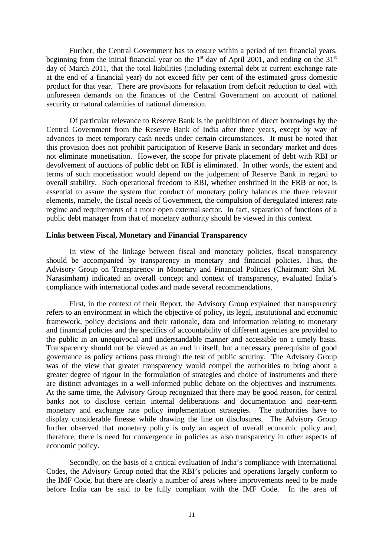Further, the Central Government has to ensure within a period of ten financial years, beginning from the initial financial year on the  $1<sup>st</sup>$  day of April 2001, and ending on the  $31<sup>st</sup>$ day of March 2011, that the total liabilities (including external debt at current exchange rate at the end of a financial year) do not exceed fifty per cent of the estimated gross domestic product for that year. There are provisions for relaxation from deficit reduction to deal with unforeseen demands on the finances of the Central Government on account of national security or natural calamities of national dimension.

Of particular relevance to Reserve Bank is the prohibition of direct borrowings by the Central Government from the Reserve Bank of India after three years, except by way of advances to meet temporary cash needs under certain circumstances. It must be noted that this provision does not prohibit participation of Reserve Bank in secondary market and does not eliminate monetisation. However, the scope for private placement of debt with RBI or devolvement of auctions of public debt on RBI is eliminated. In other words, the extent and terms of such monetisation would depend on the judgement of Reserve Bank in regard to overall stability. Such operational freedom to RBI, whether enshrined in the FRB or not, is essential to assure the system that conduct of monetary policy balances the three relevant elements, namely, the fiscal needs of Government, the compulsion of deregulated interest rate regime and requirements of a more open external sector. In fact, separation of functions of a public debt manager from that of monetary authority should be viewed in this context.

### **Links between Fiscal, Monetary and Financial Transparency**

In view of the linkage between fiscal and monetary policies, fiscal transparency should be accompanied by transparency in monetary and financial policies. Thus, the Advisory Group on Transparency in Monetary and Financial Policies (Chairman: Shri M. Narasimham) indicated an overall concept and context of transparency, evaluated India's compliance with international codes and made several recommendations.

First, in the context of their Report, the Advisory Group explained that transparency refers to an environment in which the objective of policy, its legal, institutional and economic framework, policy decisions and their rationale, data and information relating to monetary and financial policies and the specifics of accountability of different agencies are provided to the public in an unequivocal and understandable manner and accessible on a timely basis. Transparency should not be viewed as an end in itself, but a necessary prerequisite of good governance as policy actions pass through the test of public scrutiny. The Advisory Group was of the view that greater transparency would compel the authorities to bring about a greater degree of rigour in the formulation of strategies and choice of instruments and there are distinct advantages in a well-informed public debate on the objectives and instruments. At the same time, the Advisory Group recognized that there may be good reason, for central banks not to disclose certain internal deliberations and documentation and near-term monetary and exchange rate policy implementation strategies. The authorities have to display considerable finesse while drawing the line on disclosures. The Advisory Group further observed that monetary policy is only an aspect of overall economic policy and, therefore, there is need for convergence in policies as also transparency in other aspects of economic policy.

Secondly, on the basis of a critical evaluation of India's compliance with International Codes, the Advisory Group noted that the RBI's policies and operations largely conform to the IMF Code, but there are clearly a number of areas where improvements need to be made before India can be said to be fully compliant with the IMF Code. In the area of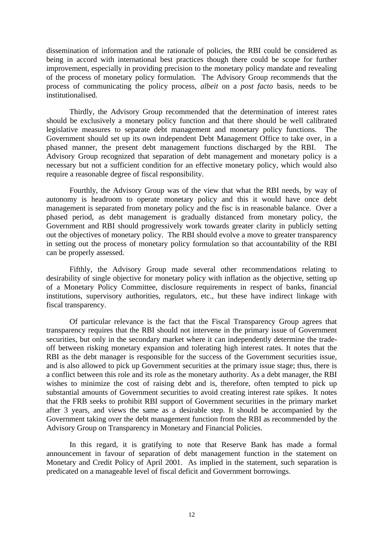dissemination of information and the rationale of policies, the RBI could be considered as being in accord with international best practices though there could be scope for further improvement, especially in providing precision to the monetary policy mandate and revealing of the process of monetary policy formulation. The Advisory Group recommends that the process of communicating the policy process, *albeit* on a *post facto* basis, needs to be institutionalised.

Thirdly, the Advisory Group recommended that the determination of interest rates should be exclusively a monetary policy function and that there should be well calibrated legislative measures to separate debt management and monetary policy functions. The Government should set up its own independent Debt Management Office to take over, in a phased manner, the present debt management functions discharged by the RBI. The Advisory Group recognized that separation of debt management and monetary policy is a necessary but not a sufficient condition for an effective monetary policy, which would also require a reasonable degree of fiscal responsibility.

Fourthly, the Advisory Group was of the view that what the RBI needs, by way of autonomy is headroom to operate monetary policy and this it would have once debt management is separated from monetary policy and the fisc is in reasonable balance. Over a phased period, as debt management is gradually distanced from monetary policy, the Government and RBI should progressively work towards greater clarity in publicly setting out the objectives of monetary policy. The RBI should evolve a move to greater transparency in setting out the process of monetary policy formulation so that accountability of the RBI can be properly assessed.

Fifthly, the Advisory Group made several other recommendations relating to desirability of single objective for monetary policy with inflation as the objective, setting up of a Monetary Policy Committee, disclosure requirements in respect of banks, financial institutions, supervisory authorities, regulators, etc., but these have indirect linkage with fiscal transparency.

Of particular relevance is the fact that the Fiscal Transparency Group agrees that transparency requires that the RBI should not intervene in the primary issue of Government securities, but only in the secondary market where it can independently determine the tradeoff between risking monetary expansion and tolerating high interest rates. It notes that the RBI as the debt manager is responsible for the success of the Government securities issue, and is also allowed to pick up Government securities at the primary issue stage; thus, there is a conflict between this role and its role as the monetary authority. As a debt manager, the RBI wishes to minimize the cost of raising debt and is, therefore, often tempted to pick up substantial amounts of Government securities to avoid creating interest rate spikes. It notes that the FRB seeks to prohibit RBI support of Government securities in the primary market after 3 years, and views the same as a desirable step. It should be accompanied by the Government taking over the debt management function from the RBI as recommended by the Advisory Group on Transparency in Monetary and Financial Policies.

In this regard, it is gratifying to note that Reserve Bank has made a formal announcement in favour of separation of debt management function in the statement on Monetary and Credit Policy of April 2001. As implied in the statement, such separation is predicated on a manageable level of fiscal deficit and Government borrowings.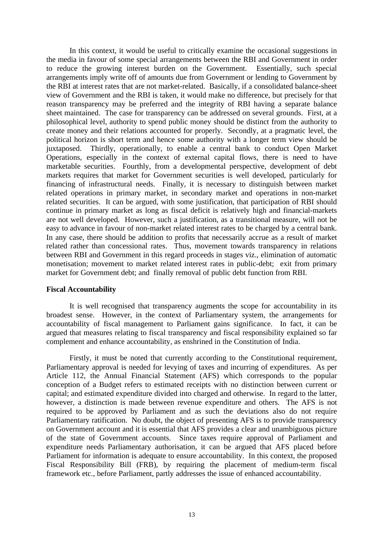In this context, it would be useful to critically examine the occasional suggestions in the media in favour of some special arrangements between the RBI and Government in order to reduce the growing interest burden on the Government. Essentially, such special arrangements imply write off of amounts due from Government or lending to Government by the RBI at interest rates that are not market-related. Basically, if a consolidated balance-sheet view of Government and the RBI is taken, it would make no difference, but precisely for that reason transparency may be preferred and the integrity of RBI having a separate balance sheet maintained. The case for transparency can be addressed on several grounds. First, at a philosophical level, authority to spend public money should be distinct from the authority to create money and their relations accounted for properly. Secondly, at a pragmatic level, the political horizon is short term and hence some authority with a longer term view should be juxtaposed. Thirdly, operationally, to enable a central bank to conduct Open Market Operations, especially in the context of external capital flows, there is need to have marketable securities. Fourthly, from a developmental perspective, development of debt markets requires that market for Government securities is well developed, particularly for financing of infrastructural needs. Finally, it is necessary to distinguish between market related operations in primary market, in secondary market and operations in non-market related securities. It can be argued, with some justification, that participation of RBI should continue in primary market as long as fiscal deficit is relatively high and financial-markets are not well developed. However, such a justification, as a transitional measure, will not be easy to advance in favour of non-market related interest rates to be charged by a central bank. In any case, there should be addition to profits that necessarily accrue as a result of market related rather than concessional rates. Thus, movement towards transparency in relations between RBI and Government in this regard proceeds in stages viz., elimination of automatic monetisation; movement to market related interest rates in public-debt; exit from primary market for Government debt; and finally removal of public debt function from RBI.

### **Fiscal Accountability**

It is well recognised that transparency augments the scope for accountability in its broadest sense. However, in the context of Parliamentary system, the arrangements for accountability of fiscal management to Parliament gains significance. In fact, it can be argued that measures relating to fiscal transparency and fiscal responsibility explained so far complement and enhance accountability, as enshrined in the Constitution of India.

Firstly, it must be noted that currently according to the Constitutional requirement, Parliamentary approval is needed for levying of taxes and incurring of expenditures. As per Article 112, the Annual Financial Statement (AFS) which corresponds to the popular conception of a Budget refers to estimated receipts with no distinction between current or capital; and estimated expenditure divided into charged and otherwise. In regard to the latter, however, a distinction is made between revenue expenditure and others. The AFS is not required to be approved by Parliament and as such the deviations also do not require Parliamentary ratification. No doubt, the object of presenting AFS is to provide transparency on Government account and it is essential that AFS provides a clear and unambiguous picture of the state of Government accounts. Since taxes require approval of Parliament and expenditure needs Parliamentary authorisation, it can be argued that AFS placed before Parliament for information is adequate to ensure accountability. In this context, the proposed Fiscal Responsibility Bill (FRB), by requiring the placement of medium-term fiscal framework etc., before Parliament, partly addresses the issue of enhanced accountability.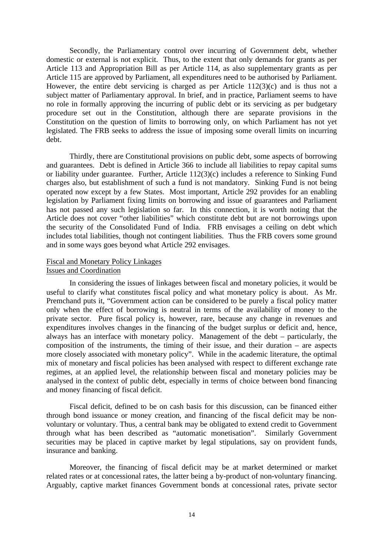Secondly, the Parliamentary control over incurring of Government debt, whether domestic or external is not explicit. Thus, to the extent that only demands for grants as per Article 113 and Appropriation Bill as per Article 114, as also supplementary grants as per Article 115 are approved by Parliament, all expenditures need to be authorised by Parliament. However, the entire debt servicing is charged as per Article 112(3)(c) and is thus not a subject matter of Parliamentary approval. In brief, and in practice, Parliament seems to have no role in formally approving the incurring of public debt or its servicing as per budgetary procedure set out in the Constitution, although there are separate provisions in the Constitution on the question of limits to borrowing only, on which Parliament has not yet legislated. The FRB seeks to address the issue of imposing some overall limits on incurring debt.

Thirdly, there are Constitutional provisions on public debt, some aspects of borrowing and guarantees. Debt is defined in Article 366 to include all liabilities to repay capital sums or liability under guarantee. Further, Article 112(3)(c) includes a reference to Sinking Fund charges also, but establishment of such a fund is not mandatory. Sinking Fund is not being operated now except by a few States. Most important, Article 292 provides for an enabling legislation by Parliament fixing limits on borrowing and issue of guarantees and Parliament has not passed any such legislation so far. In this connection, it is worth noting that the Article does not cover "other liabilities" which constitute debt but are not borrowings upon the security of the Consolidated Fund of India. FRB envisages a ceiling on debt which includes total liabilities, though not contingent liabilities. Thus the FRB covers some ground and in some ways goes beyond what Article 292 envisages.

## Fiscal and Monetary Policy Linkages Issues and Coordination

In considering the issues of linkages between fiscal and monetary policies, it would be useful to clarify what constitutes fiscal policy and what monetary policy is about. As Mr. Premchand puts it, "Government action can be considered to be purely a fiscal policy matter only when the effect of borrowing is neutral in terms of the availability of money to the private sector. Pure fiscal policy is, however, rare, because any change in revenues and expenditures involves changes in the financing of the budget surplus or deficit and, hence, always has an interface with monetary policy. Management of the debt – particularly, the composition of the instruments, the timing of their issue, and their duration – are aspects more closely associated with monetary policy". While in the academic literature, the optimal mix of monetary and fiscal policies has been analysed with respect to different exchange rate regimes, at an applied level, the relationship between fiscal and monetary policies may be analysed in the context of public debt, especially in terms of choice between bond financing and money financing of fiscal deficit.

Fiscal deficit, defined to be on cash basis for this discussion, can be financed either through bond issuance or money creation, and financing of the fiscal deficit may be nonvoluntary or voluntary. Thus, a central bank may be obligated to extend credit to Government through what has been described as "automatic monetisation". Similarly Government securities may be placed in captive market by legal stipulations, say on provident funds, insurance and banking.

Moreover, the financing of fiscal deficit may be at market determined or market related rates or at concessional rates, the latter being a by-product of non-voluntary financing. Arguably, captive market finances Government bonds at concessional rates, private sector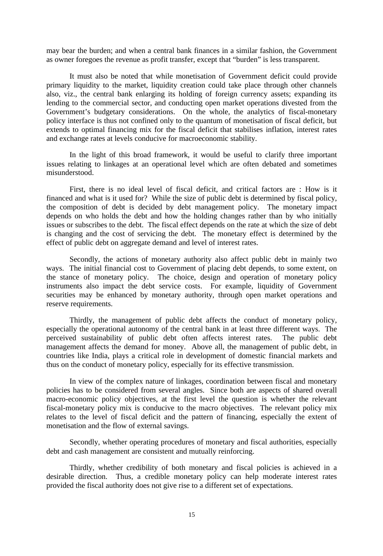may bear the burden; and when a central bank finances in a similar fashion, the Government as owner foregoes the revenue as profit transfer, except that "burden" is less transparent.

It must also be noted that while monetisation of Government deficit could provide primary liquidity to the market, liquidity creation could take place through other channels also, viz., the central bank enlarging its holding of foreign currency assets; expanding its lending to the commercial sector, and conducting open market operations divested from the Government's budgetary considerations. On the whole, the analytics of fiscal-monetary policy interface is thus not confined only to the quantum of monetisation of fiscal deficit, but extends to optimal financing mix for the fiscal deficit that stabilises inflation, interest rates and exchange rates at levels conducive for macroeconomic stability.

In the light of this broad framework, it would be useful to clarify three important issues relating to linkages at an operational level which are often debated and sometimes misunderstood.

First, there is no ideal level of fiscal deficit, and critical factors are : How is it financed and what is it used for? While the size of public debt is determined by fiscal policy, the composition of debt is decided by debt management policy. The monetary impact depends on who holds the debt and how the holding changes rather than by who initially issues or subscribes to the debt. The fiscal effect depends on the rate at which the size of debt is changing and the cost of servicing the debt. The monetary effect is determined by the effect of public debt on aggregate demand and level of interest rates.

Secondly, the actions of monetary authority also affect public debt in mainly two ways. The initial financial cost to Government of placing debt depends, to some extent, on the stance of monetary policy. The choice, design and operation of monetary policy instruments also impact the debt service costs. For example, liquidity of Government securities may be enhanced by monetary authority, through open market operations and reserve requirements.

Thirdly, the management of public debt affects the conduct of monetary policy, especially the operational autonomy of the central bank in at least three different ways. The perceived sustainability of public debt often affects interest rates. The public debt management affects the demand for money. Above all, the management of public debt, in countries like India, plays a critical role in development of domestic financial markets and thus on the conduct of monetary policy, especially for its effective transmission.

In view of the complex nature of linkages, coordination between fiscal and monetary policies has to be considered from several angles. Since both are aspects of shared overall macro-economic policy objectives, at the first level the question is whether the relevant fiscal-monetary policy mix is conducive to the macro objectives. The relevant policy mix relates to the level of fiscal deficit and the pattern of financing, especially the extent of monetisation and the flow of external savings.

Secondly, whether operating procedures of monetary and fiscal authorities, especially debt and cash management are consistent and mutually reinforcing.

Thirdly, whether credibility of both monetary and fiscal policies is achieved in a desirable direction. Thus, a credible monetary policy can help moderate interest rates provided the fiscal authority does not give rise to a different set of expectations.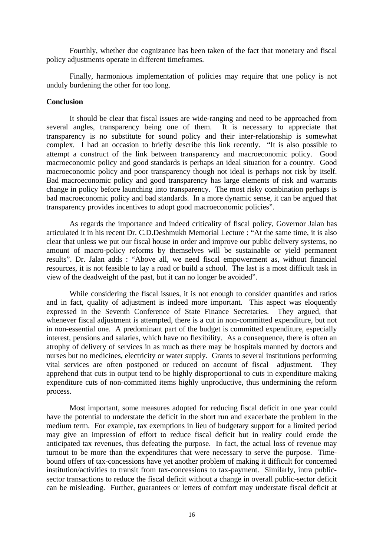Fourthly, whether due cognizance has been taken of the fact that monetary and fiscal policy adjustments operate in different timeframes.

Finally, harmonious implementation of policies may require that one policy is not unduly burdening the other for too long.

### **Conclusion**

It should be clear that fiscal issues are wide-ranging and need to be approached from several angles, transparency being one of them. It is necessary to appreciate that transparency is no substitute for sound policy and their inter-relationship is somewhat complex. I had an occasion to briefly describe this link recently. "It is also possible to attempt a construct of the link between transparency and macroeconomic policy. Good macroeconomic policy and good standards is perhaps an ideal situation for a country. Good macroeconomic policy and poor transparency though not ideal is perhaps not risk by itself. Bad macroeconomic policy and good transparency has large elements of risk and warrants change in policy before launching into transparency. The most risky combination perhaps is bad macroeconomic policy and bad standards. In a more dynamic sense, it can be argued that transparency provides incentives to adopt good macroeconomic policies".

As regards the importance and indeed criticality of fiscal policy, Governor Jalan has articulated it in his recent Dr. C.D.Deshmukh Memorial Lecture : "At the same time, it is also clear that unless we put our fiscal house in order and improve our public delivery systems, no amount of macro-policy reforms by themselves will be sustainable or yield permanent results". Dr. Jalan adds : "Above all, we need fiscal empowerment as, without financial resources, it is not feasible to lay a road or build a school. The last is a most difficult task in view of the deadweight of the past, but it can no longer be avoided".

While considering the fiscal issues, it is not enough to consider quantities and ratios and in fact, quality of adjustment is indeed more important. This aspect was eloquently expressed in the Seventh Conference of State Finance Secretaries. They argued, that whenever fiscal adjustment is attempted, there is a cut in non-committed expenditure, but not in non-essential one. A predominant part of the budget is committed expenditure, especially interest, pensions and salaries, which have no flexibility. As a consequence, there is often an atrophy of delivery of services in as much as there may be hospitals manned by doctors and nurses but no medicines, electricity or water supply. Grants to several institutions performing vital services are often postponed or reduced on account of fiscal adjustment. They apprehend that cuts in output tend to be highly disproportional to cuts in expenditure making expenditure cuts of non-committed items highly unproductive, thus undermining the reform process.

Most important, some measures adopted for reducing fiscal deficit in one year could have the potential to understate the deficit in the short run and exacerbate the problem in the medium term. For example, tax exemptions in lieu of budgetary support for a limited period may give an impression of effort to reduce fiscal deficit but in reality could erode the anticipated tax revenues, thus defeating the purpose. In fact, the actual loss of revenue may turnout to be more than the expenditures that were necessary to serve the purpose. Timebound offers of tax-concessions have yet another problem of making it difficult for concerned institution/activities to transit from tax-concessions to tax-payment. Similarly, intra publicsector transactions to reduce the fiscal deficit without a change in overall public-sector deficit can be misleading. Further, guarantees or letters of comfort may understate fiscal deficit at